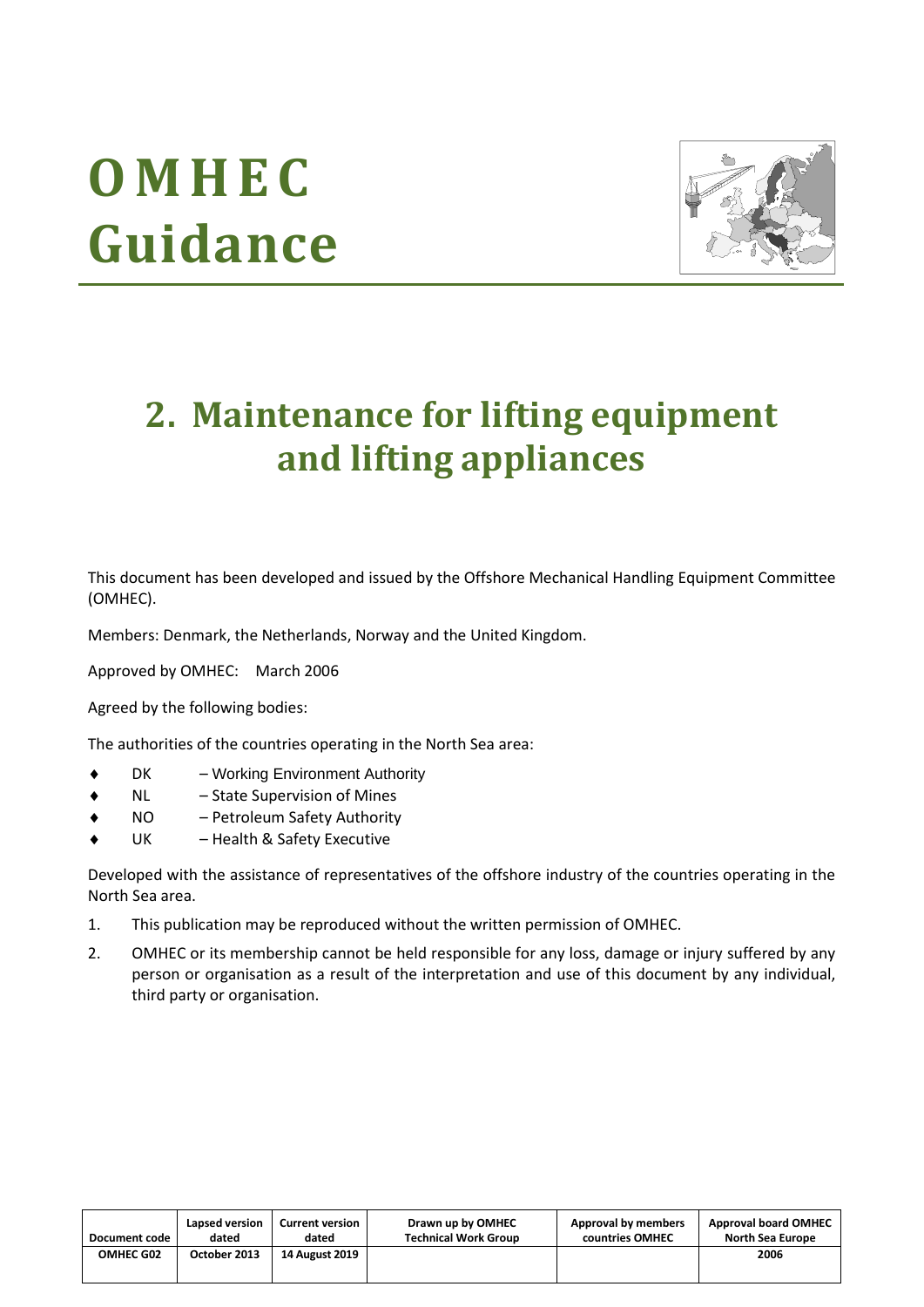# **O M H E C Guidance**



# **2. Maintenance for lifting equipment and lifting appliances**

This document has been developed and issued by the Offshore Mechanical Handling Equipment Committee (OMHEC).

Members: Denmark, the Netherlands, Norway and the United Kingdom.

Approved by OMHEC: March 2006

Agreed by the following bodies:

The authorities of the countries operating in the North Sea area:

- DK Working Environment Authority
- NL State Supervision of Mines
- NO Petroleum Safety Authority
- UK Health & Safety Executive

Developed with the assistance of representatives of the offshore industry of the countries operating in the North Sea area.

- 1. This publication may be reproduced without the written permission of OMHEC.
- 2. OMHEC or its membership cannot be held responsible for any loss, damage or injury suffered by any person or organisation as a result of the interpretation and use of this document by any individual, third party or organisation.

| <b>Document code</b> | Lapsed version | <b>Current version</b> | Drawn up by OMHEC           | Approval by members | <b>Approval board OMHEC</b> |
|----------------------|----------------|------------------------|-----------------------------|---------------------|-----------------------------|
|                      | dated          | dated                  | <b>Technical Work Group</b> | countries OMHEC     | <b>North Sea Europe</b>     |
| OMHEC G02            | October 2013   | <b>14 August 2019</b>  |                             |                     | 2006                        |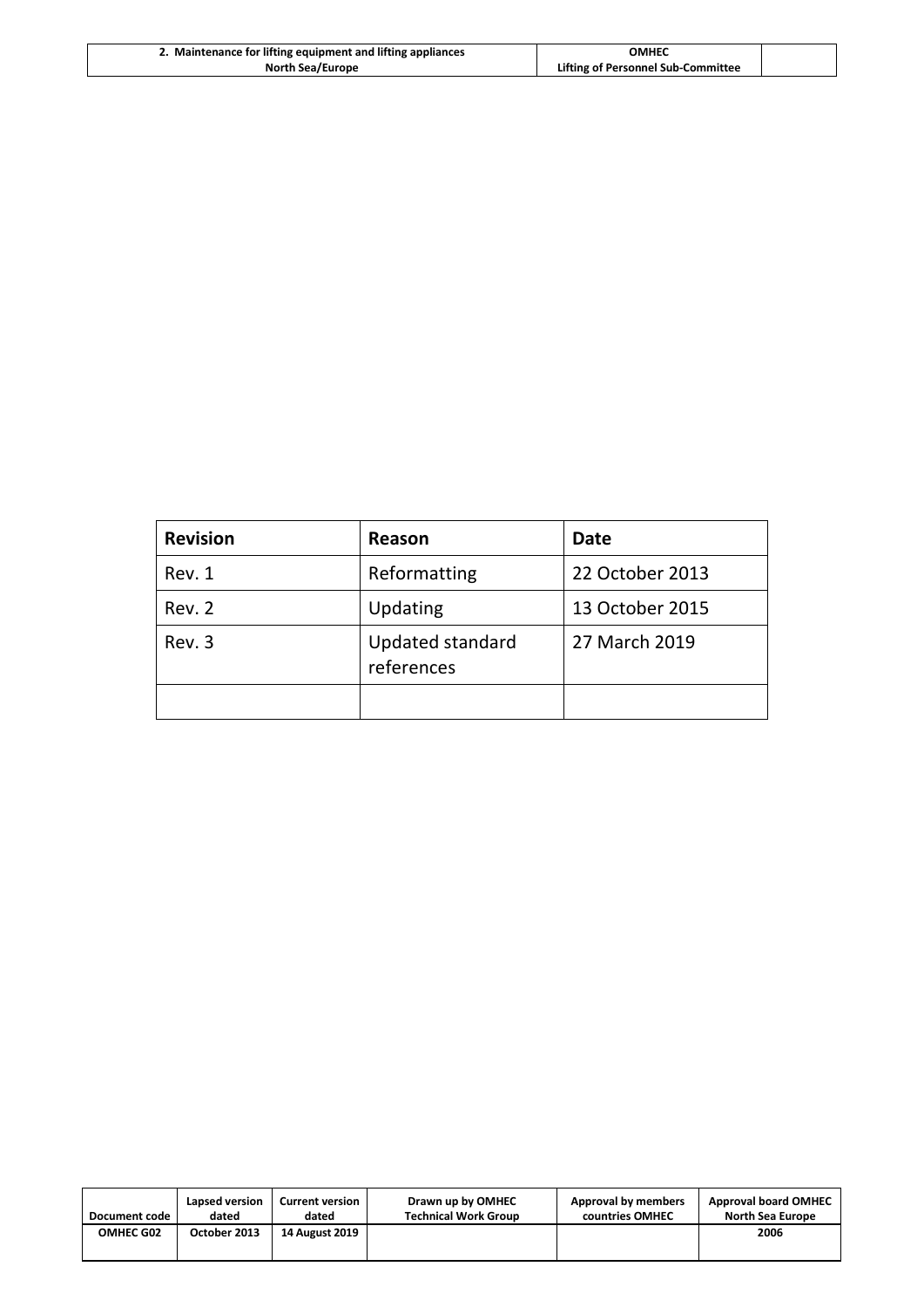| 2. Maintenance for lifting equipment and lifting appliances | OMHEC                              |  |
|-------------------------------------------------------------|------------------------------------|--|
| <b>North Sea/Europe</b>                                     | Lifting of Personnel Sub-Committee |  |

| <b>Revision</b> | Reason                         | <b>Date</b>     |
|-----------------|--------------------------------|-----------------|
| Rev. 1          | Reformatting                   | 22 October 2013 |
| Rev. 2          | Updating                       | 13 October 2015 |
| Rev. 3          | Updated standard<br>references | 27 March 2019   |
|                 |                                |                 |

| Document code    | Lapsed version | <b>Current version</b> | Drawn up by OMHEC           | Approval by members | <b>Approval board OMHEC</b> |
|------------------|----------------|------------------------|-----------------------------|---------------------|-----------------------------|
|                  | dated          | dated                  | <b>Technical Work Group</b> | countries OMHEC     | <b>North Sea Europe</b>     |
| <b>OMHEC G02</b> | October 2013   | <b>14 August 2019</b>  |                             |                     | 2006                        |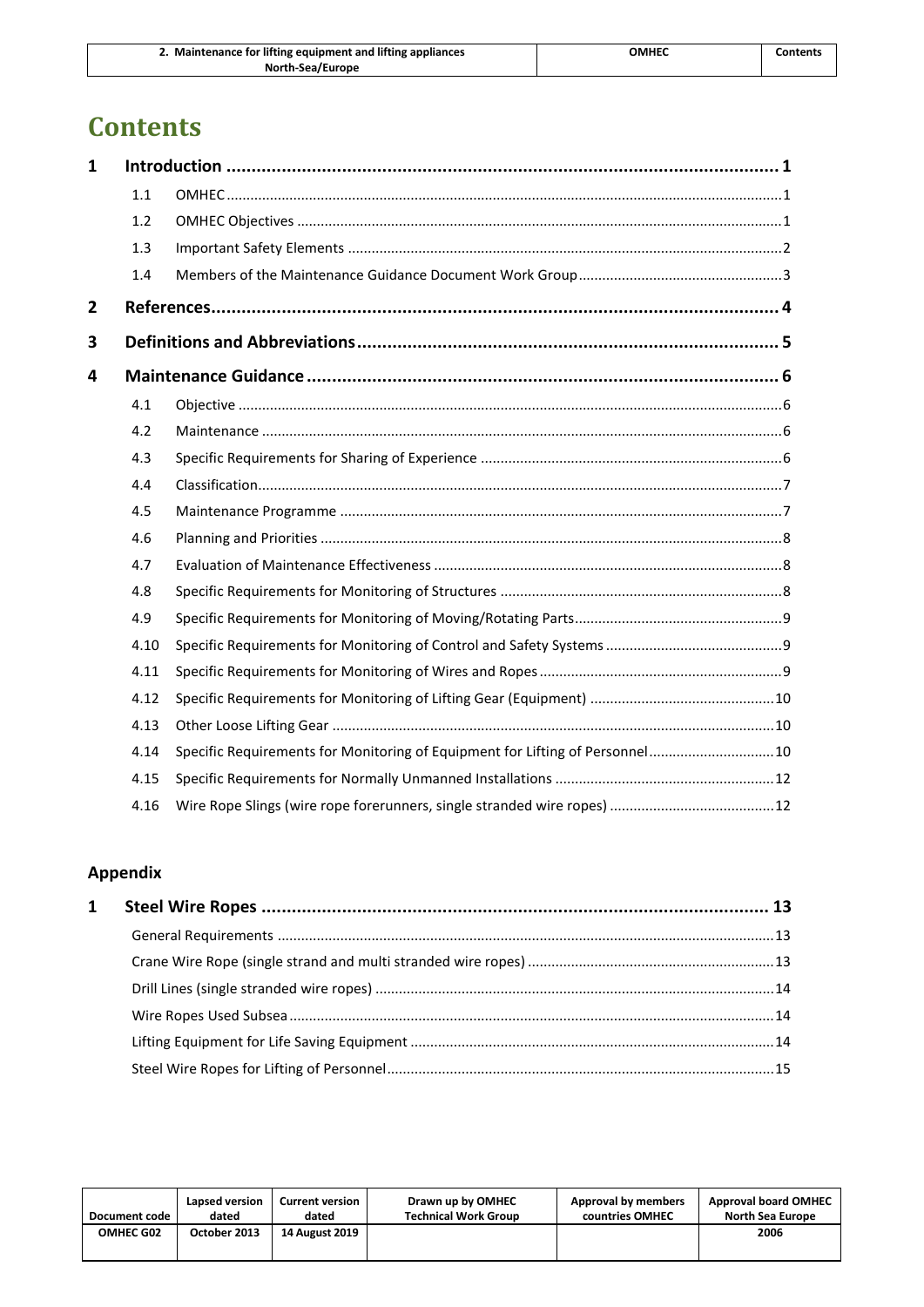| 2. Maintenance for lifting equipment and lifting appliances | ОМНЕС | Contents |
|-------------------------------------------------------------|-------|----------|
| North-Sea/Europe                                            |       |          |

# **Contents**

| $\mathbf{1}$ |      |                                                                               |  |
|--------------|------|-------------------------------------------------------------------------------|--|
|              | 1.1  |                                                                               |  |
|              | 1.2  |                                                                               |  |
|              | 1.3  |                                                                               |  |
|              | 1.4  |                                                                               |  |
| $\mathbf{2}$ |      |                                                                               |  |
| 3            |      |                                                                               |  |
| 4            |      |                                                                               |  |
|              | 4.1  |                                                                               |  |
|              | 4.2  |                                                                               |  |
|              | 4.3  |                                                                               |  |
|              | 4.4  |                                                                               |  |
|              | 4.5  |                                                                               |  |
|              | 4.6  |                                                                               |  |
|              | 4.7  |                                                                               |  |
|              | 4.8  |                                                                               |  |
|              | 4.9  |                                                                               |  |
|              | 4.10 |                                                                               |  |
|              | 4.11 |                                                                               |  |
|              | 4.12 |                                                                               |  |
|              | 4.13 |                                                                               |  |
|              | 4.14 | Specific Requirements for Monitoring of Equipment for Lifting of Personnel 10 |  |
|              | 4.15 |                                                                               |  |
|              | 4.16 |                                                                               |  |

# **Appendix**

| $\mathbf{1}$ |  |
|--------------|--|
|              |  |
|              |  |
|              |  |
|              |  |
|              |  |
|              |  |
|              |  |

| Document code    | Lapsed version | Current version       | Drawn up by OMHEC           | Approval by members | <b>Approval board OMHEC</b> |
|------------------|----------------|-----------------------|-----------------------------|---------------------|-----------------------------|
|                  | dated          | dated                 | <b>Technical Work Group</b> | countries OMHEC     | North Sea Europe            |
| <b>OMHEC G02</b> | October 2013   | <b>14 August 2019</b> |                             |                     | 2006                        |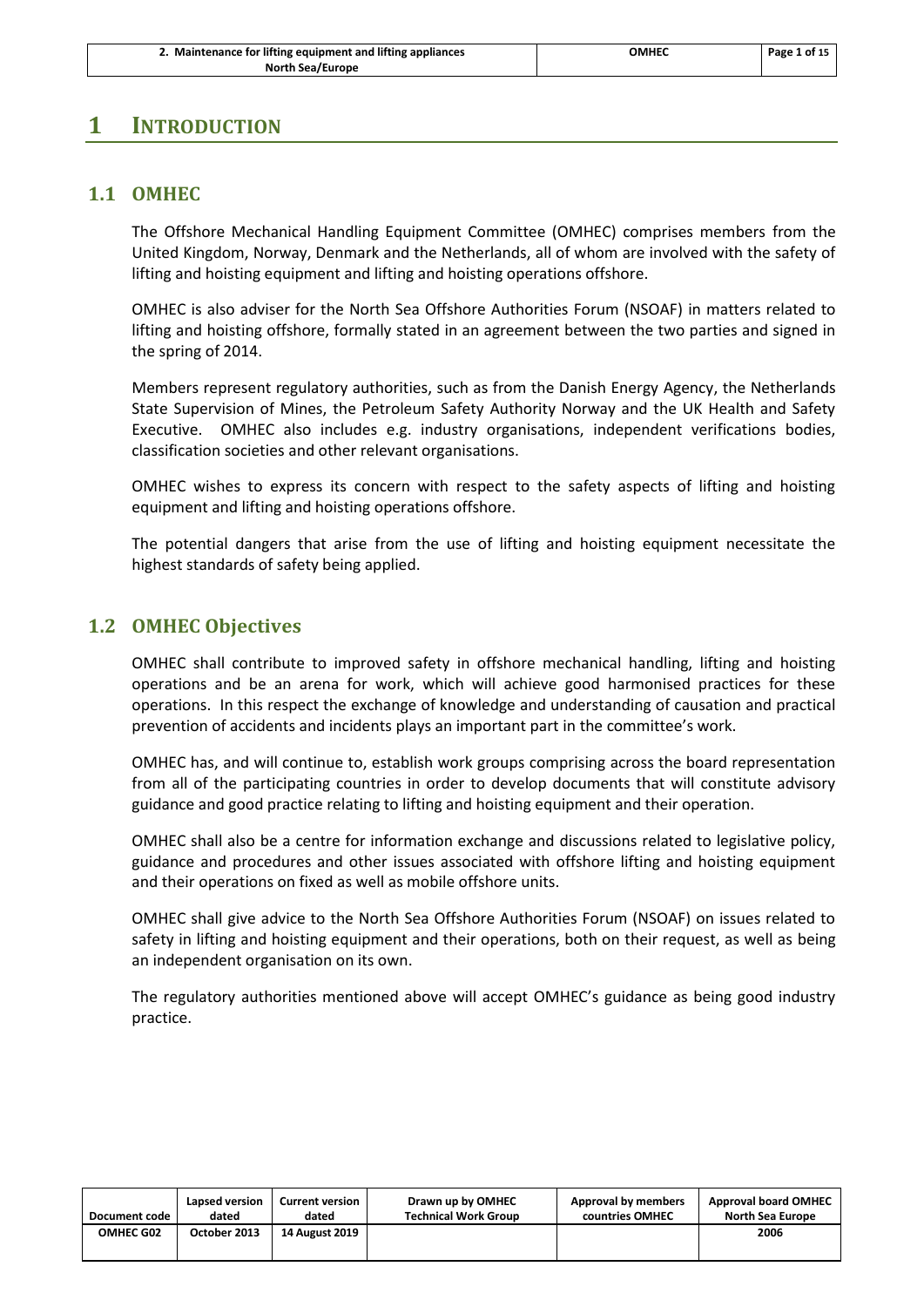# <span id="page-3-1"></span><span id="page-3-0"></span>**1 INTRODUCTION**

## **1.1 OMHEC**

The Offshore Mechanical Handling Equipment Committee (OMHEC) comprises members from the United Kingdom, Norway, Denmark and the Netherlands, all of whom are involved with the safety of lifting and hoisting equipment and lifting and hoisting operations offshore.

OMHEC is also adviser for the North Sea Offshore Authorities Forum (NSOAF) in matters related to lifting and hoisting offshore, formally stated in an agreement between the two parties and signed in the spring of 2014.

Members represent regulatory authorities, such as from the Danish Energy Agency, the Netherlands State Supervision of Mines, the Petroleum Safety Authority Norway and the UK Health and Safety Executive. OMHEC also includes e.g. industry organisations, independent verifications bodies, classification societies and other relevant organisations.

OMHEC wishes to express its concern with respect to the safety aspects of lifting and hoisting equipment and lifting and hoisting operations offshore.

The potential dangers that arise from the use of lifting and hoisting equipment necessitate the highest standards of safety being applied.

#### <span id="page-3-2"></span>**1.2 OMHEC Objectives**

OMHEC shall contribute to improved safety in offshore mechanical handling, lifting and hoisting operations and be an arena for work, which will achieve good harmonised practices for these operations. In this respect the exchange of knowledge and understanding of causation and practical prevention of accidents and incidents plays an important part in the committee's work.

OMHEC has, and will continue to, establish work groups comprising across the board representation from all of the participating countries in order to develop documents that will constitute advisory guidance and good practice relating to lifting and hoisting equipment and their operation.

OMHEC shall also be a centre for information exchange and discussions related to legislative policy, guidance and procedures and other issues associated with offshore lifting and hoisting equipment and their operations on fixed as well as mobile offshore units.

OMHEC shall give advice to the North Sea Offshore Authorities Forum (NSOAF) on issues related to safety in lifting and hoisting equipment and their operations, both on their request, as well as being an independent organisation on its own.

The regulatory authorities mentioned above will accept OMHEC's guidance as being good industry practice.

| <b>Document code</b> | Lapsed version | <b>Current version</b> | Drawn up by OMHEC           | Approval by members | <b>Approval board OMHEC</b> |
|----------------------|----------------|------------------------|-----------------------------|---------------------|-----------------------------|
|                      | dated          | dated                  | <b>Technical Work Group</b> | countries OMHEC     | <b>North Sea Europe</b>     |
| OMHEC G02            | October 2013   | <b>14 August 2019</b>  |                             |                     | 2006                        |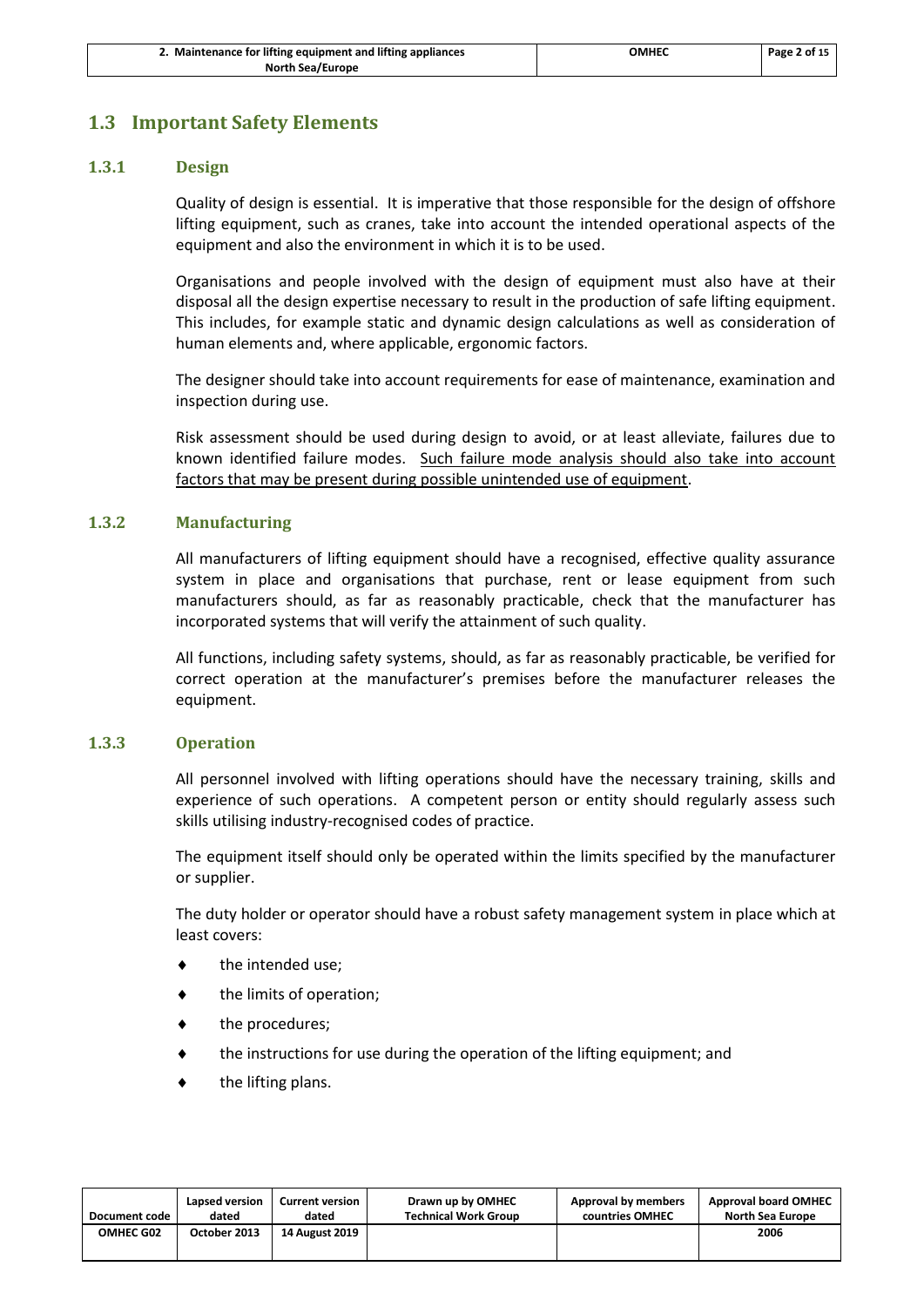# <span id="page-4-0"></span>**1.3 Important Safety Elements**

#### **1.3.1 Design**

Quality of design is essential. It is imperative that those responsible for the design of offshore lifting equipment, such as cranes, take into account the intended operational aspects of the equipment and also the environment in which it is to be used.

Organisations and people involved with the design of equipment must also have at their disposal all the design expertise necessary to result in the production of safe lifting equipment. This includes, for example static and dynamic design calculations as well as consideration of human elements and, where applicable, ergonomic factors.

The designer should take into account requirements for ease of maintenance, examination and inspection during use.

Risk assessment should be used during design to avoid, or at least alleviate, failures due to known identified failure modes. Such failure mode analysis should also take into account factors that may be present during possible unintended use of equipment.

#### **1.3.2 Manufacturing**

All manufacturers of lifting equipment should have a recognised, effective quality assurance system in place and organisations that purchase, rent or lease equipment from such manufacturers should, as far as reasonably practicable, check that the manufacturer has incorporated systems that will verify the attainment of such quality.

All functions, including safety systems, should, as far as reasonably practicable, be verified for correct operation at the manufacturer's premises before the manufacturer releases the equipment.

#### **1.3.3 Operation**

All personnel involved with lifting operations should have the necessary training, skills and experience of such operations. A competent person or entity should regularly assess such skills utilising industry-recognised codes of practice.

The equipment itself should only be operated within the limits specified by the manufacturer or supplier.

The duty holder or operator should have a robust safety management system in place which at least covers:

- the intended use;
- the limits of operation;
- the procedures;
- the instructions for use during the operation of the lifting equipment; and
- the lifting plans.

| Document code | Lapsed version | <b>Current version</b> | Drawn up by OMHEC           | Approval by members | <b>Approval board OMHEC</b> |
|---------------|----------------|------------------------|-----------------------------|---------------------|-----------------------------|
|               | dated          | dated                  | <b>Technical Work Group</b> | countries OMHEC     | North Sea Europe            |
| OMHEC G02     | October 2013   | <b>14 August 2019</b>  |                             |                     | 2006                        |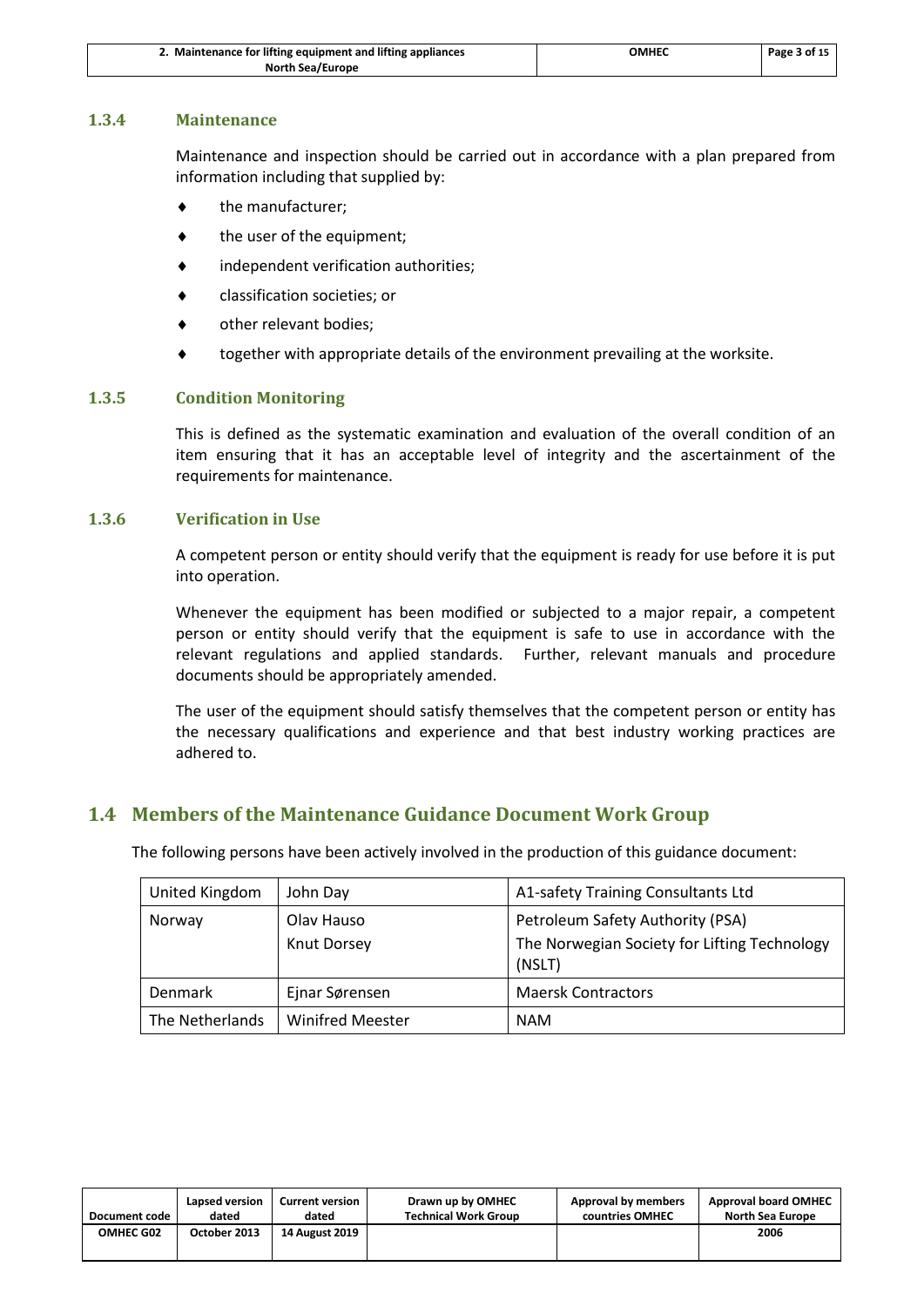| 2. Maintenance for lifting equipment and lifting appliances | OMHEC | Page 3 of 15 |
|-------------------------------------------------------------|-------|--------------|
| <b>North Sea/Europe</b>                                     |       |              |

#### **1.3.4 Maintenance**

Maintenance and inspection should be carried out in accordance with a plan prepared from information including that supplied by:

- the manufacturer;
- the user of the equipment;
- independent verification authorities;
- classification societies; or
- other relevant bodies;
- together with appropriate details of the environment prevailing at the worksite.

#### **1.3.5 Condition Monitoring**

This is defined as the systematic examination and evaluation of the overall condition of an item ensuring that it has an acceptable level of integrity and the ascertainment of the requirements for maintenance.

#### **1.3.6 Verification in Use**

A competent person or entity should verify that the equipment is ready for use before it is put into operation.

Whenever the equipment has been modified or subjected to a major repair, a competent person or entity should verify that the equipment is safe to use in accordance with the relevant regulations and applied standards. Further, relevant manuals and procedure documents should be appropriately amended.

The user of the equipment should satisfy themselves that the competent person or entity has the necessary qualifications and experience and that best industry working practices are adhered to.

# <span id="page-5-0"></span>**1.4 Members of the Maintenance Guidance Document Work Group**

The following persons have been actively involved in the production of this guidance document:

| United Kingdom  | John Day                | A1-safety Training Consultants Ltd                     |
|-----------------|-------------------------|--------------------------------------------------------|
| Norway          | Olav Hauso              | Petroleum Safety Authority (PSA)                       |
|                 | Knut Dorsey             | The Norwegian Society for Lifting Technology<br>(NSLT) |
| Denmark         | Ejnar Sørensen          | <b>Maersk Contractors</b>                              |
| The Netherlands | <b>Winifred Meester</b> | <b>NAM</b>                                             |

| Document code    | Lapsed version | <b>Current version</b> | Drawn up by OMHEC           | Approval by members | <b>Approval board OMHEC</b> |
|------------------|----------------|------------------------|-----------------------------|---------------------|-----------------------------|
|                  | dated          | dated                  | <b>Technical Work Group</b> | countries OMHEC     | <b>North Sea Europe</b>     |
| <b>OMHEC G02</b> | October 2013   | <b>14 August 2019</b>  |                             |                     | 2006                        |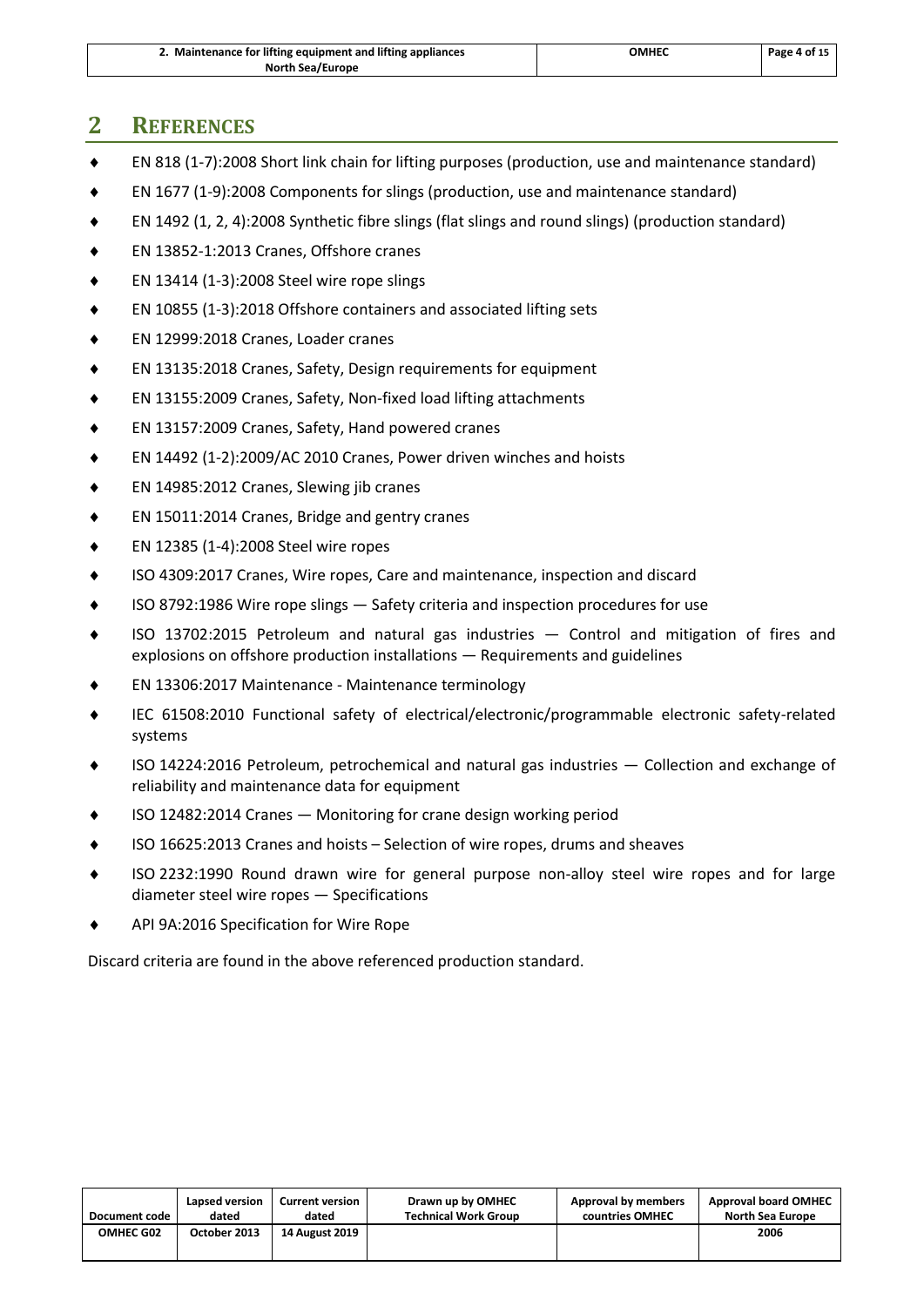| 2. Maintenance for lifting equipment and lifting appliances | ОМНЕС | Page 4 of 15 |
|-------------------------------------------------------------|-------|--------------|
| <b>North Sea/Europe</b>                                     |       |              |

# <span id="page-6-0"></span>**2 REFERENCES**

- EN 818 (1-7):2008 Short link chain for lifting purposes (production, use and maintenance standard)
- EN 1677 (1-9):2008 Components for slings (production, use and maintenance standard)
- EN 1492 (1, 2, 4):2008 Synthetic fibre slings (flat slings and round slings) (production standard)
- EN 13852-1:2013 Cranes, Offshore cranes
- EN 13414 (1-3):2008 Steel wire rope slings
- EN 10855 (1-3):2018 Offshore containers and associated lifting sets
- EN 12999:2018 Cranes, Loader cranes
- EN 13135:2018 Cranes, Safety, Design requirements for equipment
- EN 13155:2009 Cranes, Safety, Non-fixed load lifting attachments
- EN 13157:2009 Cranes, Safety, Hand powered cranes
- EN 14492 (1-2):2009/AC 2010 Cranes, Power driven winches and hoists
- EN 14985:2012 Cranes, Slewing jib cranes
- ◆ EN 15011:2014 Cranes, Bridge and gentry cranes
- $\bullet$  EN 12385 (1-4):2008 Steel wire ropes
- ISO 4309:2017 Cranes, Wire ropes, Care and maintenance, inspection and discard
- ISO 8792:1986 Wire rope slings Safety criteria and inspection procedures for use
- ISO 13702:2015 Petroleum and natural gas industries Control and mitigation of fires and explosions on offshore production installations — Requirements and guidelines
- EN 13306:2017 Maintenance Maintenance terminology
- IEC 61508:2010 Functional safety of electrical/electronic/programmable electronic safety-related systems
- ISO 14224:2016 Petroleum, petrochemical and natural gas industries Collection and exchange of reliability and maintenance data for equipment
- ISO 12482:2014 Cranes Monitoring for crane design working period
- ISO 16625:2013 Cranes and hoists Selection of wire ropes, drums and sheaves
- ISO 2232:1990 Round drawn wire for general purpose non-alloy steel wire ropes and for large diameter steel wire ropes — Specifications
- API 9A:2016 Specification for Wire Rope

Discard criteria are found in the above referenced production standard.

| Document code    | Lapsed version | <b>Current version</b> | Drawn up by OMHEC           | Approval by members | <b>Approval board OMHEC</b> |
|------------------|----------------|------------------------|-----------------------------|---------------------|-----------------------------|
|                  | dated          | dated                  | <b>Technical Work Group</b> | countries OMHEC     | <b>North Sea Europe</b>     |
| <b>OMHEC G02</b> | October 2013   | <b>14 August 2019</b>  |                             |                     | 2006                        |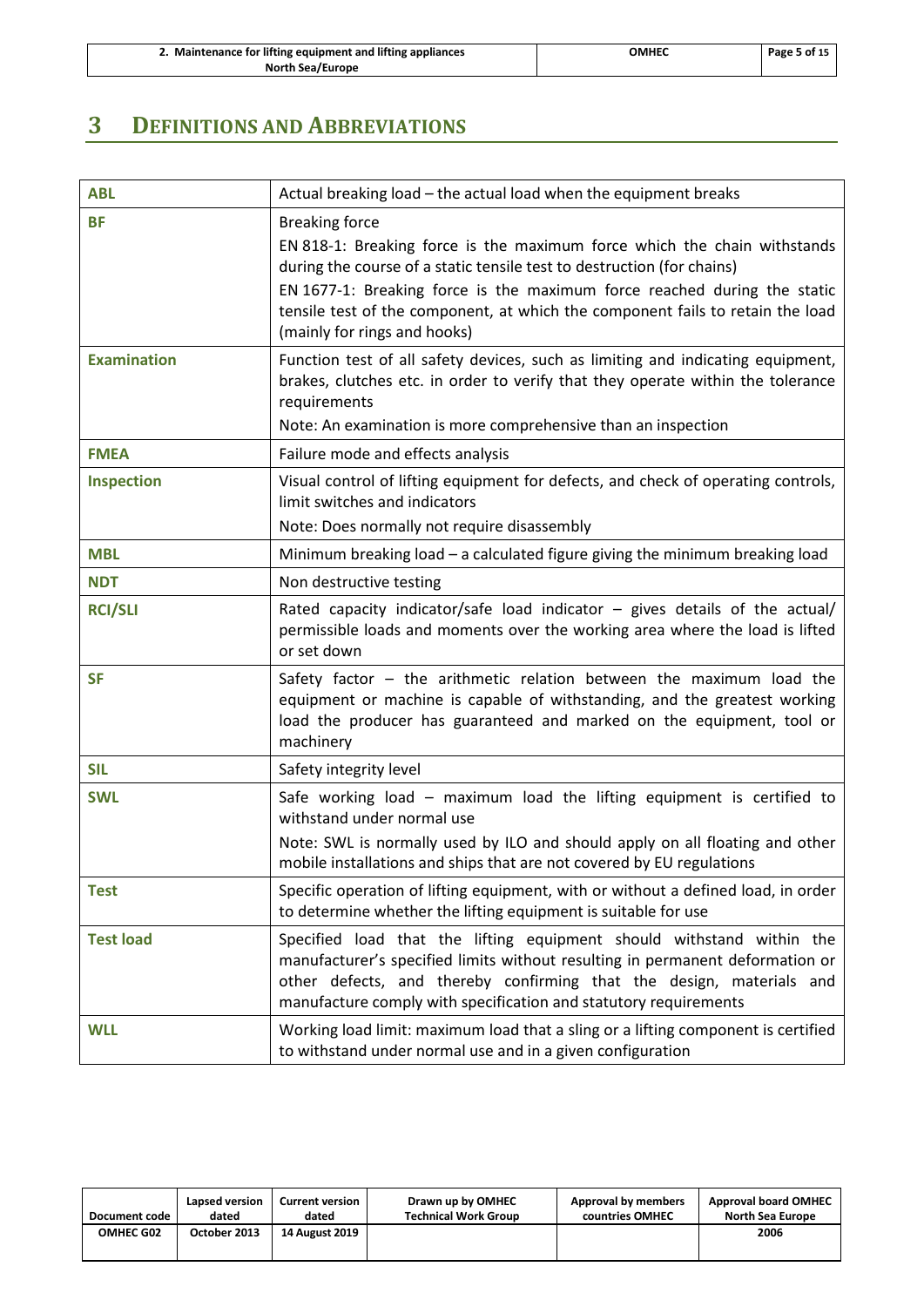| 2. Maintenance for lifting equipment and lifting appliances | ОМНЕС | Page 5 of 15 |
|-------------------------------------------------------------|-------|--------------|
| <b>North Sea/Europe</b>                                     |       |              |

# <span id="page-7-0"></span>**3 DEFINITIONS AND ABBREVIATIONS**

| <b>ABL</b>         | Actual breaking load - the actual load when the equipment breaks                                                                                                                                                                                                                                                                                                          |
|--------------------|---------------------------------------------------------------------------------------------------------------------------------------------------------------------------------------------------------------------------------------------------------------------------------------------------------------------------------------------------------------------------|
| <b>BF</b>          | <b>Breaking force</b><br>EN 818-1: Breaking force is the maximum force which the chain withstands<br>during the course of a static tensile test to destruction (for chains)<br>EN 1677-1: Breaking force is the maximum force reached during the static<br>tensile test of the component, at which the component fails to retain the load<br>(mainly for rings and hooks) |
| <b>Examination</b> | Function test of all safety devices, such as limiting and indicating equipment,<br>brakes, clutches etc. in order to verify that they operate within the tolerance<br>requirements<br>Note: An examination is more comprehensive than an inspection                                                                                                                       |
| <b>FMEA</b>        | Failure mode and effects analysis                                                                                                                                                                                                                                                                                                                                         |
| <b>Inspection</b>  | Visual control of lifting equipment for defects, and check of operating controls,<br>limit switches and indicators                                                                                                                                                                                                                                                        |
|                    | Note: Does normally not require disassembly                                                                                                                                                                                                                                                                                                                               |
| <b>MBL</b>         | Minimum breaking load - a calculated figure giving the minimum breaking load                                                                                                                                                                                                                                                                                              |
| <b>NDT</b>         | Non destructive testing                                                                                                                                                                                                                                                                                                                                                   |
| <b>RCI/SLI</b>     | Rated capacity indicator/safe load indicator - gives details of the actual/<br>permissible loads and moments over the working area where the load is lifted<br>or set down                                                                                                                                                                                                |
| <b>SF</b>          | Safety factor $-$ the arithmetic relation between the maximum load the<br>equipment or machine is capable of withstanding, and the greatest working<br>load the producer has guaranteed and marked on the equipment, tool or<br>machinery                                                                                                                                 |
| <b>SIL</b>         | Safety integrity level                                                                                                                                                                                                                                                                                                                                                    |
| <b>SWL</b>         | Safe working load – maximum load the lifting equipment is certified to<br>withstand under normal use<br>Note: SWL is normally used by ILO and should apply on all floating and other<br>mobile installations and ships that are not covered by EU regulations                                                                                                             |
| <b>Test</b>        | Specific operation of lifting equipment, with or without a defined load, in order<br>to determine whether the lifting equipment is suitable for use                                                                                                                                                                                                                       |
| <b>Test load</b>   | Specified load that the lifting equipment should withstand within the<br>manufacturer's specified limits without resulting in permanent deformation or<br>other defects, and thereby confirming that the design, materials and<br>manufacture comply with specification and statutory requirements                                                                        |
| <b>WLL</b>         | Working load limit: maximum load that a sling or a lifting component is certified<br>to withstand under normal use and in a given configuration                                                                                                                                                                                                                           |

| Document code    | Lapsed version | <b>Current version</b> | Drawn up by OMHEC           | Approval by members | <b>Approval board OMHEC</b> |
|------------------|----------------|------------------------|-----------------------------|---------------------|-----------------------------|
|                  | dated          | dated                  | <b>Technical Work Group</b> | countries OMHEC     | North Sea Europe            |
| <b>OMHEC G02</b> | October 2013   | <b>14 August 2019</b>  |                             |                     | 2006                        |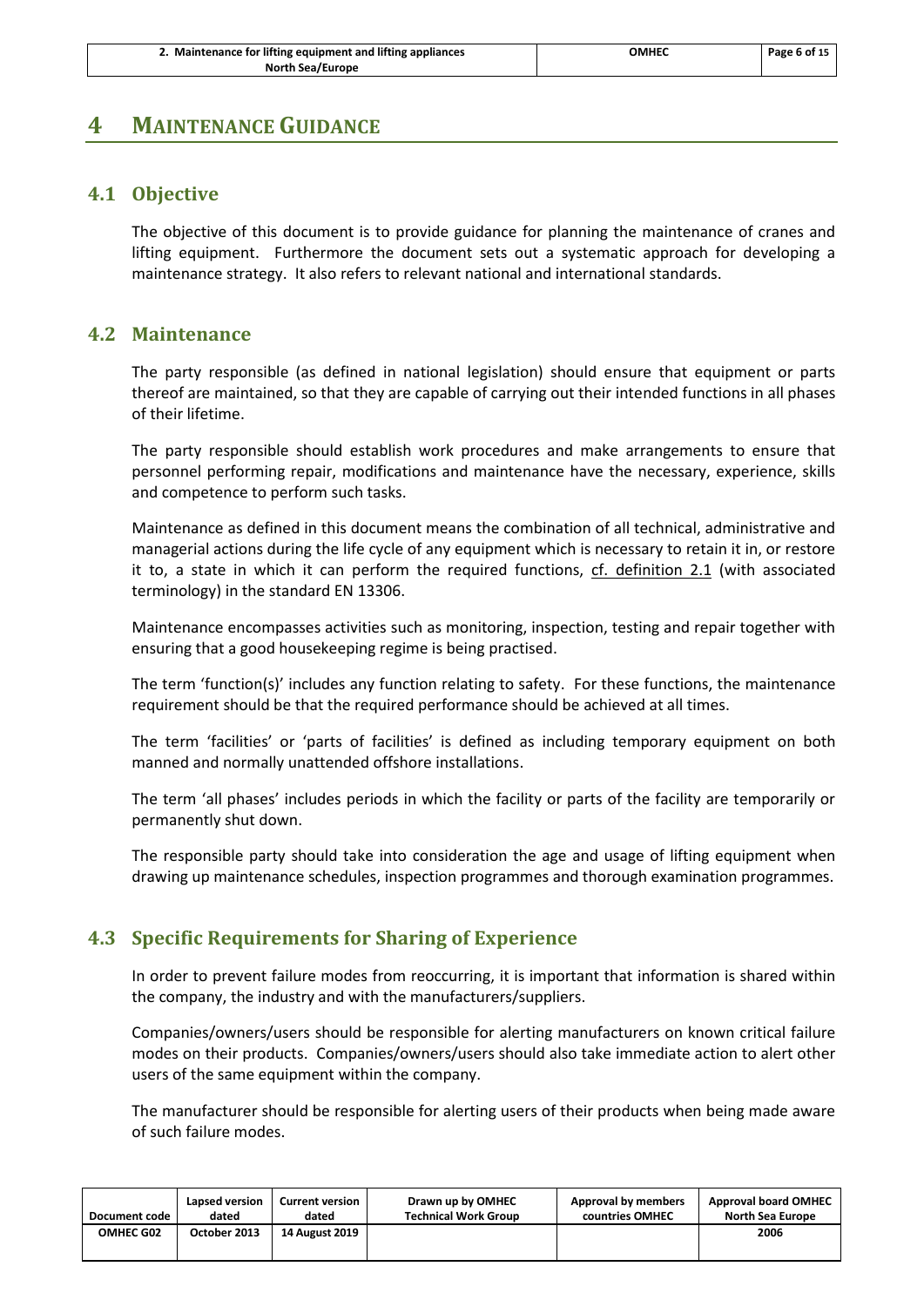# <span id="page-8-1"></span><span id="page-8-0"></span>**4 MAINTENANCE GUIDANCE**

## **4.1 Objective**

The objective of this document is to provide guidance for planning the maintenance of cranes and lifting equipment. Furthermore the document sets out a systematic approach for developing a maintenance strategy. It also refers to relevant national and international standards.

## <span id="page-8-2"></span>**4.2 Maintenance**

The party responsible (as defined in national legislation) should ensure that equipment or parts thereof are maintained, so that they are capable of carrying out their intended functions in all phases of their lifetime.

The party responsible should establish work procedures and make arrangements to ensure that personnel performing repair, modifications and maintenance have the necessary, experience, skills and competence to perform such tasks.

Maintenance as defined in this document means the combination of all technical, administrative and managerial actions during the life cycle of any equipment which is necessary to retain it in, or restore it to, a state in which it can perform the required functions, cf. definition 2.1 (with associated terminology) in the standard EN 13306.

Maintenance encompasses activities such as monitoring, inspection, testing and repair together with ensuring that a good housekeeping regime is being practised.

The term 'function(s)' includes any function relating to safety. For these functions, the maintenance requirement should be that the required performance should be achieved at all times.

The term 'facilities' or 'parts of facilities' is defined as including temporary equipment on both manned and normally unattended offshore installations.

The term 'all phases' includes periods in which the facility or parts of the facility are temporarily or permanently shut down.

The responsible party should take into consideration the age and usage of lifting equipment when drawing up maintenance schedules, inspection programmes and thorough examination programmes.

# <span id="page-8-3"></span>**4.3 Specific Requirements for Sharing of Experience**

In order to prevent failure modes from reoccurring, it is important that information is shared within the company, the industry and with the manufacturers/suppliers.

Companies/owners/users should be responsible for alerting manufacturers on known critical failure modes on their products. Companies/owners/users should also take immediate action to alert other users of the same equipment within the company.

The manufacturer should be responsible for alerting users of their products when being made aware of such failure modes.

| Document code | Lapsed version | <b>Current version</b> | Drawn up by OMHEC           | Approval by members | <b>Approval board OMHEC</b> |
|---------------|----------------|------------------------|-----------------------------|---------------------|-----------------------------|
|               | dated          | dated                  | <b>Technical Work Group</b> | countries OMHEC     | North Sea Europe            |
| OMHEC G02     | October 2013   | <b>14 August 2019</b>  |                             |                     | 2006                        |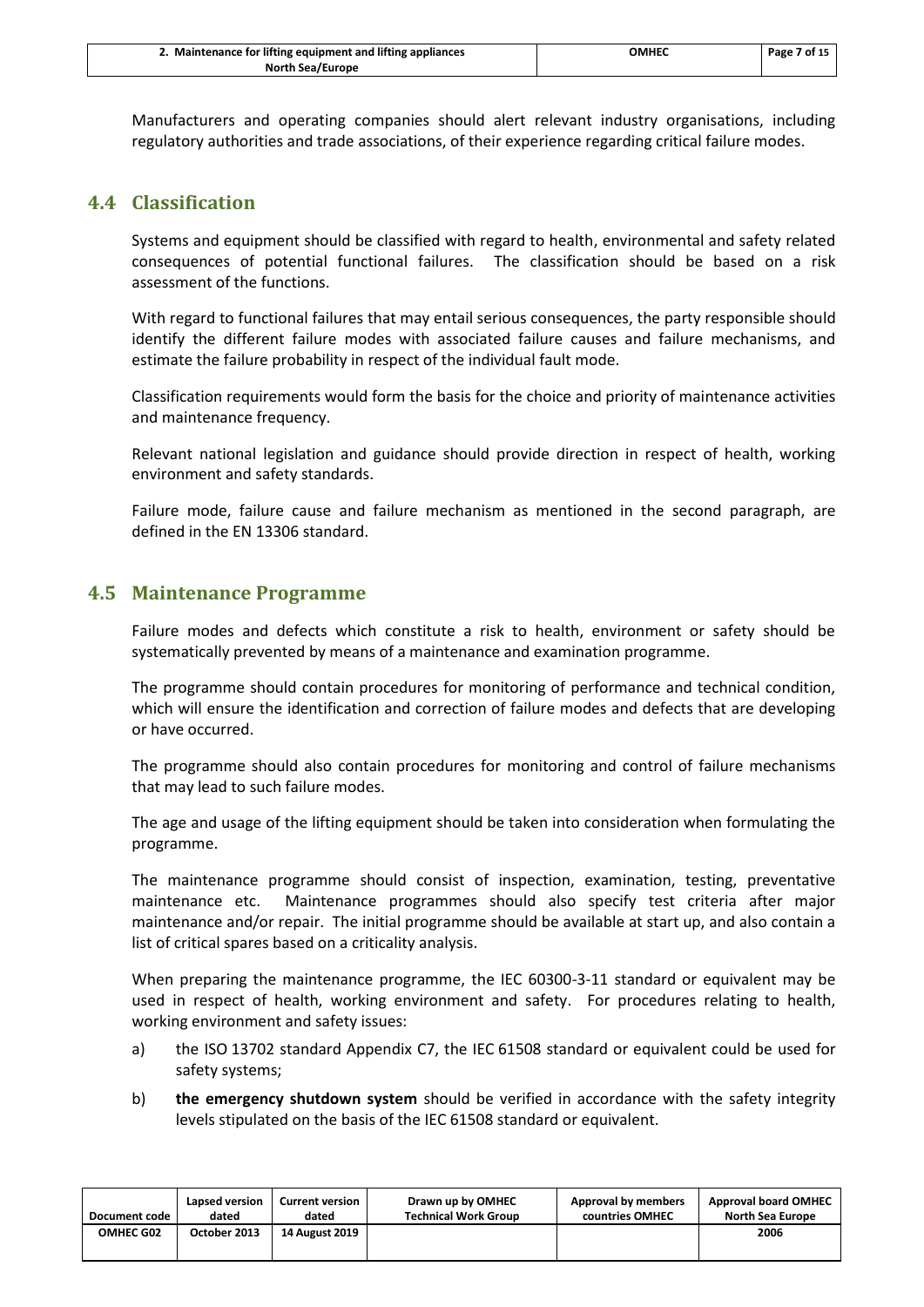| 2. Maintenance for lifting equipment and lifting appliances | ОМНЕС | Page 7 of 15 |
|-------------------------------------------------------------|-------|--------------|
| <b>North Sea/Europe</b>                                     |       |              |

Manufacturers and operating companies should alert relevant industry organisations, including regulatory authorities and trade associations, of their experience regarding critical failure modes.

## <span id="page-9-0"></span>**4.4 Classification**

Systems and equipment should be classified with regard to health, environmental and safety related consequences of potential functional failures. The classification should be based on a risk assessment of the functions.

With regard to functional failures that may entail serious consequences, the party responsible should identify the different failure modes with associated failure causes and failure mechanisms, and estimate the failure probability in respect of the individual fault mode.

Classification requirements would form the basis for the choice and priority of maintenance activities and maintenance frequency.

Relevant national legislation and guidance should provide direction in respect of health, working environment and safety standards.

Failure mode, failure cause and failure mechanism as mentioned in the second paragraph, are defined in the EN 13306 standard.

#### <span id="page-9-1"></span>**4.5 Maintenance Programme**

Failure modes and defects which constitute a risk to health, environment or safety should be systematically prevented by means of a maintenance and examination programme.

The programme should contain procedures for monitoring of performance and technical condition, which will ensure the identification and correction of failure modes and defects that are developing or have occurred.

The programme should also contain procedures for monitoring and control of failure mechanisms that may lead to such failure modes.

The age and usage of the lifting equipment should be taken into consideration when formulating the programme.

The maintenance programme should consist of inspection, examination, testing, preventative maintenance etc. Maintenance programmes should also specify test criteria after major maintenance and/or repair. The initial programme should be available at start up, and also contain a list of critical spares based on a criticality analysis.

When preparing the maintenance programme, the IEC 60300-3-11 standard or equivalent may be used in respect of health, working environment and safety. For procedures relating to health, working environment and safety issues:

- a) the ISO 13702 standard Appendix C7, the IEC 61508 standard or equivalent could be used for safety systems;
- b) **the emergency shutdown system** should be verified in accordance with the safety integrity levels stipulated on the basis of the IEC 61508 standard or equivalent.

| Document code    | Lapsed version | <b>Current version</b> | Drawn up by OMHEC           | Approval by members | <b>Approval board OMHEC</b> |
|------------------|----------------|------------------------|-----------------------------|---------------------|-----------------------------|
|                  | dated          | dated                  | <b>Technical Work Group</b> | countries OMHEC     | <b>North Sea Europe</b>     |
| <b>OMHEC G02</b> | October 2013   | <b>14 August 2019</b>  |                             |                     | 2006                        |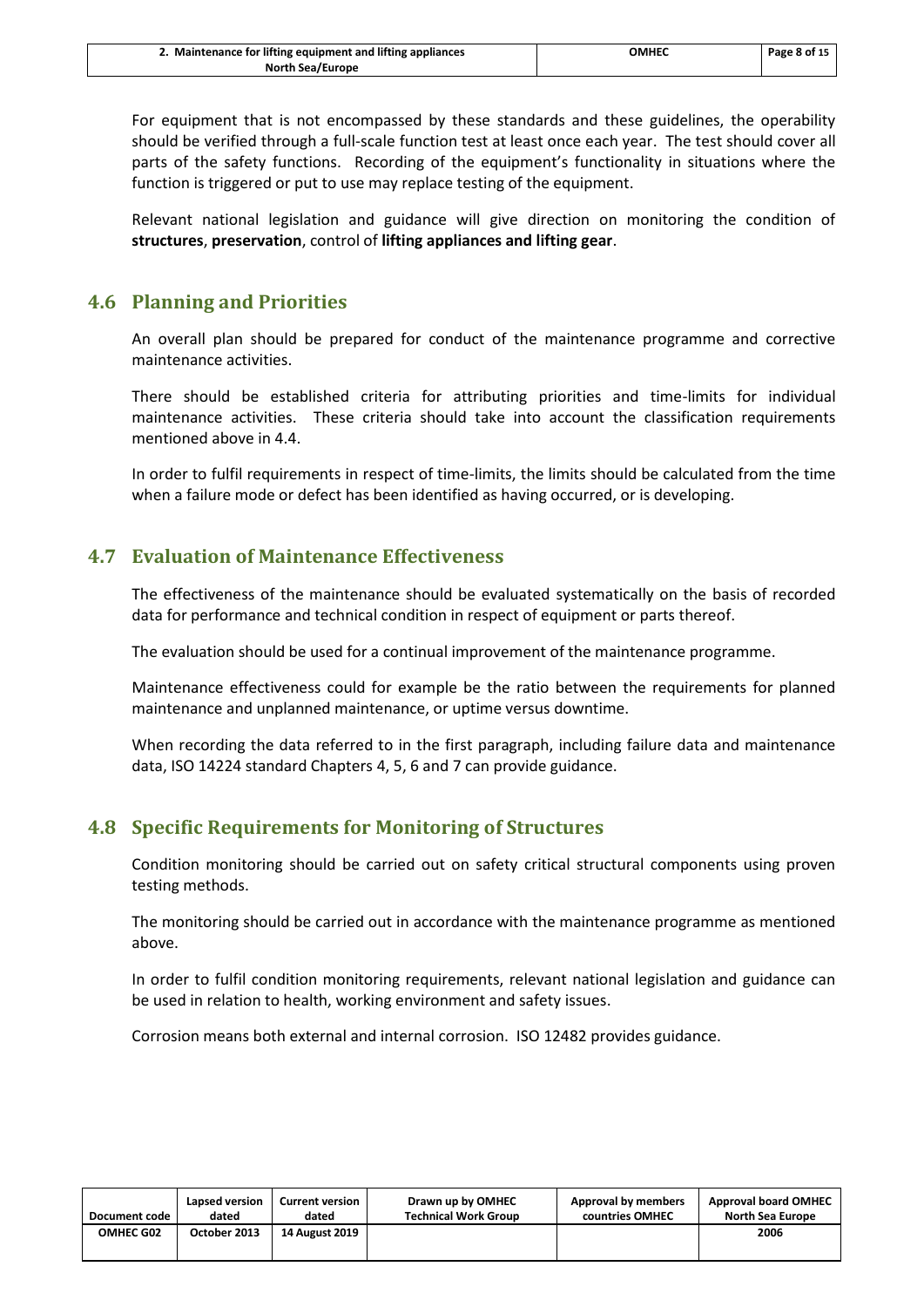| 2. Maintenance for lifting equipment and lifting appliances | ОМНЕС | Page 8 of 15 |
|-------------------------------------------------------------|-------|--------------|
| <b>North Sea/Europe</b>                                     |       |              |

For equipment that is not encompassed by these standards and these guidelines, the operability should be verified through a full-scale function test at least once each year. The test should cover all parts of the safety functions. Recording of the equipment's functionality in situations where the function is triggered or put to use may replace testing of the equipment.

Relevant national legislation and guidance will give direction on monitoring the condition of **structures**, **preservation**, control of **lifting appliances and lifting gear**.

## <span id="page-10-0"></span>**4.6 Planning and Priorities**

An overall plan should be prepared for conduct of the maintenance programme and corrective maintenance activities.

There should be established criteria for attributing priorities and time-limits for individual maintenance activities. These criteria should take into account the classification requirements mentioned above in [4.4.](#page-9-0)

In order to fulfil requirements in respect of time-limits, the limits should be calculated from the time when a failure mode or defect has been identified as having occurred, or is developing.

## <span id="page-10-1"></span>**4.7 Evaluation of Maintenance Effectiveness**

The effectiveness of the maintenance should be evaluated systematically on the basis of recorded data for performance and technical condition in respect of equipment or parts thereof.

The evaluation should be used for a continual improvement of the maintenance programme.

Maintenance effectiveness could for example be the ratio between the requirements for planned maintenance and unplanned maintenance, or uptime versus downtime.

When recording the data referred to in the first paragraph, including failure data and maintenance data, ISO 14224 standard Chapters 4, 5, 6 and 7 can provide guidance.

# <span id="page-10-2"></span>**4.8 Specific Requirements for Monitoring of Structures**

Condition monitoring should be carried out on safety critical structural components using proven testing methods.

The monitoring should be carried out in accordance with the maintenance programme as mentioned above.

In order to fulfil condition monitoring requirements, relevant national legislation and guidance can be used in relation to health, working environment and safety issues.

Corrosion means both external and internal corrosion. ISO 12482 provides guidance.

| Document code    | Lapsed version | <b>Current version</b> | Drawn up by OMHEC           | Approval by members | <b>Approval board OMHEC</b> |
|------------------|----------------|------------------------|-----------------------------|---------------------|-----------------------------|
|                  | dated          | dated                  | <b>Technical Work Group</b> | countries OMHEC     | <b>North Sea Europe</b>     |
| <b>OMHEC G02</b> | October 2013   | <b>14 August 2019</b>  |                             |                     | 2006                        |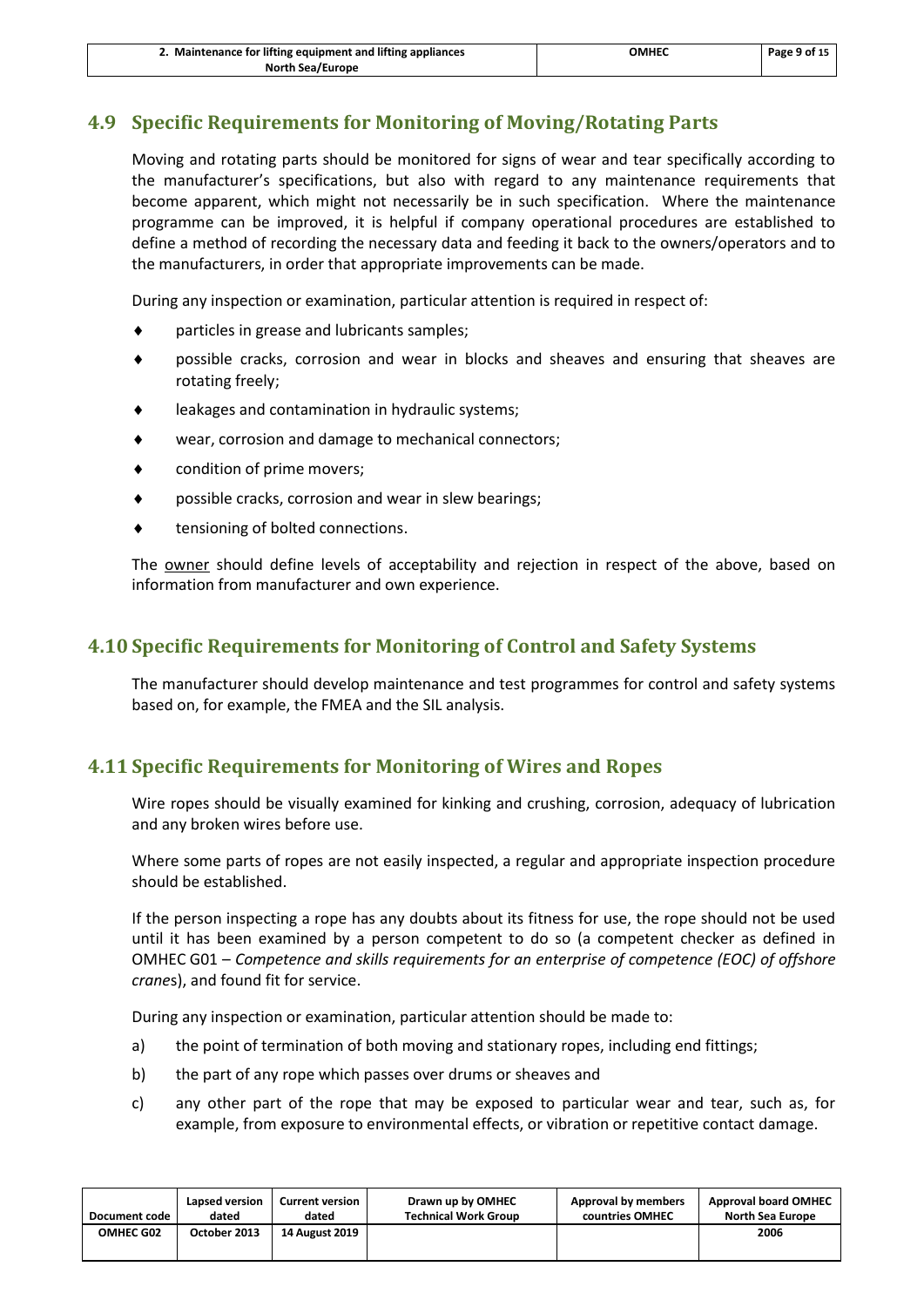| 2. Maintenance for lifting equipment and lifting appliances | OMHEC | Page 9 of 15 |
|-------------------------------------------------------------|-------|--------------|
| <b>North Sea/Europe</b>                                     |       |              |

# <span id="page-11-0"></span>**4.9 Specific Requirements for Monitoring of Moving/Rotating Parts**

Moving and rotating parts should be monitored for signs of wear and tear specifically according to the manufacturer's specifications, but also with regard to any maintenance requirements that become apparent, which might not necessarily be in such specification. Where the maintenance programme can be improved, it is helpful if company operational procedures are established to define a method of recording the necessary data and feeding it back to the owners/operators and to the manufacturers, in order that appropriate improvements can be made.

During any inspection or examination, particular attention is required in respect of:

- particles in grease and lubricants samples;
- possible cracks, corrosion and wear in blocks and sheaves and ensuring that sheaves are rotating freely;
- leakages and contamination in hydraulic systems;
- wear, corrosion and damage to mechanical connectors;
- condition of prime movers;
- possible cracks, corrosion and wear in slew bearings;
- tensioning of bolted connections.

The **owner** should define levels of acceptability and rejection in respect of the above, based on information from manufacturer and own experience.

# <span id="page-11-1"></span>**4.10 Specific Requirements for Monitoring of Control and Safety Systems**

The manufacturer should develop maintenance and test programmes for control and safety systems based on, for example, the FMEA and the SIL analysis.

# <span id="page-11-2"></span>**4.11 Specific Requirements for Monitoring of Wires and Ropes**

Wire ropes should be visually examined for kinking and crushing, corrosion, adequacy of lubrication and any broken wires before use.

Where some parts of ropes are not easily inspected, a regular and appropriate inspection procedure should be established.

If the person inspecting a rope has any doubts about its fitness for use, the rope should not be used until it has been examined by a person competent to do so (a competent checker as defined in OMHEC G01 – *Competence and skills requirements for an enterprise of competence (EOC) of offshore crane*s), and found fit for service.

During any inspection or examination, particular attention should be made to:

- a) the point of termination of both moving and stationary ropes, including end fittings;
- b) the part of any rope which passes over drums or sheaves and
- c) any other part of the rope that may be exposed to particular wear and tear, such as, for example, from exposure to environmental effects, or vibration or repetitive contact damage.

| Document code    | Lapsed version | <b>Current version</b> | Drawn up by OMHEC           | Approval by members | <b>Approval board OMHEC</b> |
|------------------|----------------|------------------------|-----------------------------|---------------------|-----------------------------|
|                  | dated          | dated                  | <b>Technical Work Group</b> | countries OMHEC     | <b>North Sea Europe</b>     |
| <b>OMHEC G02</b> | October 2013   | <b>14 August 2019</b>  |                             |                     | 2006                        |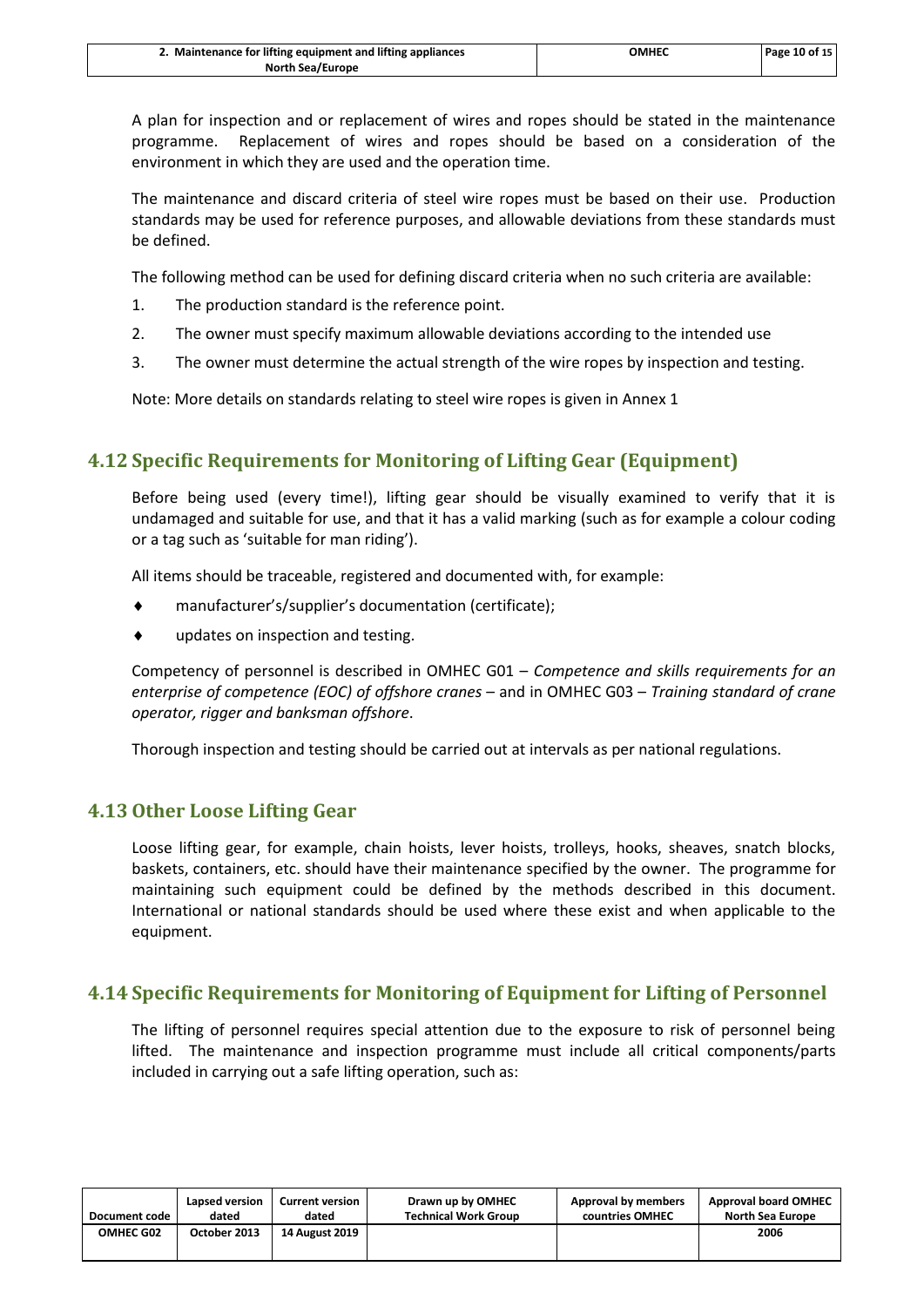| 2. Maintenance for lifting equipment and lifting appliances | ОМНЕС | Page 10 of 15 |
|-------------------------------------------------------------|-------|---------------|
| <b>North Sea/Europe</b>                                     |       |               |

A plan for inspection and or replacement of wires and ropes should be stated in the maintenance programme. Replacement of wires and ropes should be based on a consideration of the environment in which they are used and the operation time.

The maintenance and discard criteria of steel wire ropes must be based on their use. Production standards may be used for reference purposes, and allowable deviations from these standards must be defined.

The following method can be used for defining discard criteria when no such criteria are available:

- 1. The production standard is the reference point.
- 2. The owner must specify maximum allowable deviations according to the intended use
- 3. The owner must determine the actual strength of the wire ropes by inspection and testing.

Note: More details on standards relating to steel wire ropes is given in Annex 1

# <span id="page-12-0"></span>**4.12 Specific Requirements for Monitoring of Lifting Gear (Equipment)**

Before being used (every time!), lifting gear should be visually examined to verify that it is undamaged and suitable for use, and that it has a valid marking (such as for example a colour coding or a tag such as 'suitable for man riding').

All items should be traceable, registered and documented with, for example:

- manufacturer's/supplier's documentation (certificate);
- updates on inspection and testing.

Competency of personnel is described in OMHEC G01 – *Competence and skills requirements for an enterprise of competence (EOC) of offshore cranes* – and in OMHEC G03 – *Training standard of crane operator, rigger and banksman offshore*.

Thorough inspection and testing should be carried out at intervals as per national regulations.

## <span id="page-12-1"></span>**4.13 Other Loose Lifting Gear**

Loose lifting gear, for example, chain hoists, lever hoists, trolleys, hooks, sheaves, snatch blocks, baskets, containers, etc. should have their maintenance specified by the owner. The programme for maintaining such equipment could be defined by the methods described in this document. International or national standards should be used where these exist and when applicable to the equipment.

# <span id="page-12-2"></span>**4.14 Specific Requirements for Monitoring of Equipment for Lifting of Personnel**

The lifting of personnel requires special attention due to the exposure to risk of personnel being lifted. The maintenance and inspection programme must include all critical components/parts included in carrying out a safe lifting operation, such as:

| Document code    | Lapsed version | <b>Current version</b> | Drawn up by OMHEC           | Approval by members | <b>Approval board OMHEC</b> |
|------------------|----------------|------------------------|-----------------------------|---------------------|-----------------------------|
|                  | dated          | dated                  | <b>Technical Work Group</b> | countries OMHEC     | <b>North Sea Europe</b>     |
| <b>OMHEC G02</b> | October 2013   | <b>14 August 2019</b>  |                             |                     | 2006                        |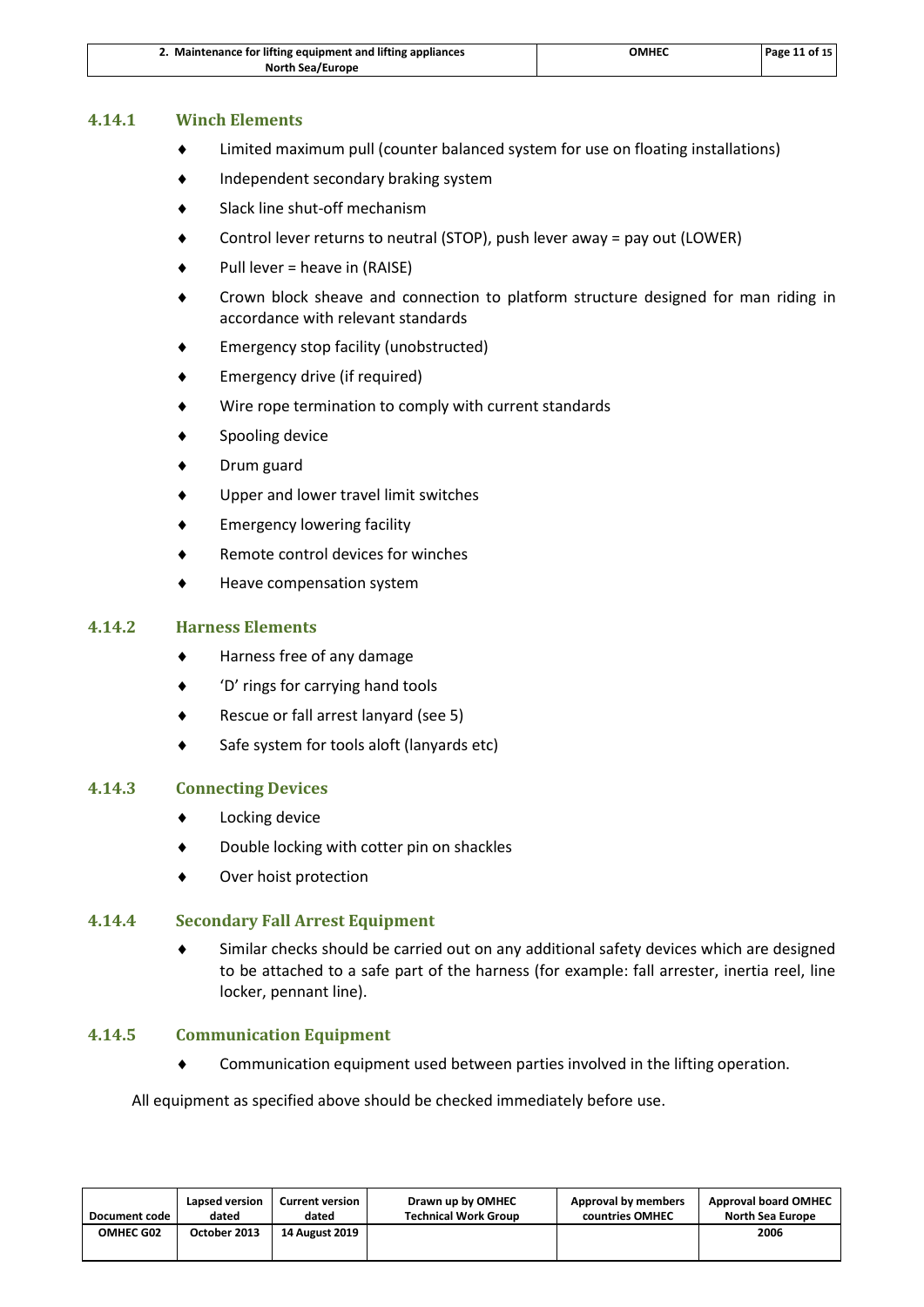| 2. Maintenance for lifting equipment and lifting appliances | ОМНЕС | Page 11 of 15 |
|-------------------------------------------------------------|-------|---------------|
| <b>North Sea/Europe</b>                                     |       |               |

#### **4.14.1 Winch Elements**

- Limited maximum pull (counter balanced system for use on floating installations)
- Independent secondary braking system
- Slack line shut-off mechanism
- Control lever returns to neutral (STOP), push lever away = pay out (LOWER)
- Pull lever = heave in (RAISE)
- Crown block sheave and connection to platform structure designed for man riding in accordance with relevant standards
- Emergency stop facility (unobstructed)
- Emergency drive (if required)
- Wire rope termination to comply with current standards
- Spooling device
- Drum guard
- Upper and lower travel limit switches
- Emergency lowering facility
- Remote control devices for winches
- Heave compensation system

#### **4.14.2 Harness Elements**

- Harness free of any damage
- 'D' rings for carrying hand tools
- Rescue or fall arrest lanyard (see 5)
- Safe system for tools aloft (lanyards etc)

#### **4.14.3 Connecting Devices**

- Locking device
- Double locking with cotter pin on shackles
- Over hoist protection

#### **4.14.4 Secondary Fall Arrest Equipment**

 Similar checks should be carried out on any additional safety devices which are designed to be attached to a safe part of the harness (for example: fall arrester, inertia reel, line locker, pennant line).

#### **4.14.5 Communication Equipment**

Communication equipment used between parties involved in the lifting operation.

All equipment as specified above should be checked immediately before use.

| Document code    | Lapsed version | <b>Current version</b> | Drawn up by OMHEC           | Approval by members | <b>Approval board OMHEC</b> |
|------------------|----------------|------------------------|-----------------------------|---------------------|-----------------------------|
|                  | dated          | dated                  | <b>Technical Work Group</b> | countries OMHEC     | North Sea Europe            |
| <b>OMHEC G02</b> | October 2013   | <b>14 August 2019</b>  |                             |                     | 2006                        |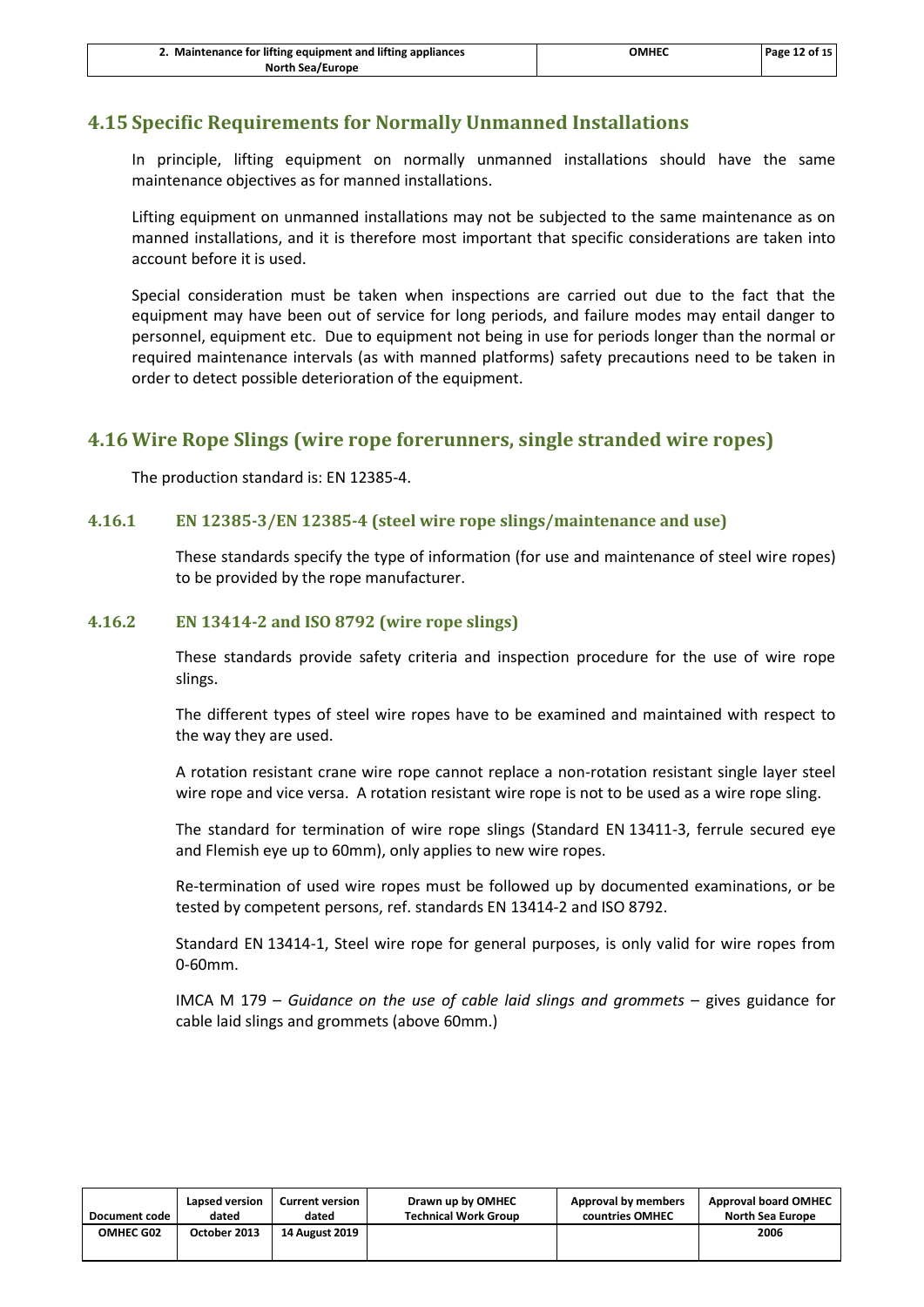# <span id="page-14-0"></span>**4.15 Specific Requirements for Normally Unmanned Installations**

In principle, lifting equipment on normally unmanned installations should have the same maintenance objectives as for manned installations.

Lifting equipment on unmanned installations may not be subjected to the same maintenance as on manned installations, and it is therefore most important that specific considerations are taken into account before it is used.

Special consideration must be taken when inspections are carried out due to the fact that the equipment may have been out of service for long periods, and failure modes may entail danger to personnel, equipment etc. Due to equipment not being in use for periods longer than the normal or required maintenance intervals (as with manned platforms) safety precautions need to be taken in order to detect possible deterioration of the equipment.

## <span id="page-14-1"></span>**4.16 Wire Rope Slings (wire rope forerunners, single stranded wire ropes)**

The production standard is: EN 12385-4.

#### **4.16.1 EN 12385-3/EN 12385-4 (steel wire rope slings/maintenance and use)**

These standards specify the type of information (for use and maintenance of steel wire ropes) to be provided by the rope manufacturer.

#### **4.16.2 EN 13414-2 and ISO 8792 (wire rope slings)**

These standards provide safety criteria and inspection procedure for the use of wire rope slings.

The different types of steel wire ropes have to be examined and maintained with respect to the way they are used.

A rotation resistant crane wire rope cannot replace a non-rotation resistant single layer steel wire rope and vice versa. A rotation resistant wire rope is not to be used as a wire rope sling.

The standard for termination of wire rope slings (Standard EN 13411-3, ferrule secured eye and Flemish eye up to 60mm), only applies to new wire ropes.

Re-termination of used wire ropes must be followed up by documented examinations, or be tested by competent persons, ref. standards EN 13414-2 and ISO 8792.

Standard EN 13414-1, Steel wire rope for general purposes, is only valid for wire ropes from 0-60mm.

IMCA M 179 – *Guidance on the use of cable laid slings and grommets* – gives guidance for cable laid slings and grommets (above 60mm.)

| Document code    | Lapsed version | <b>Current version</b> | Drawn up by OMHEC           | Approval by members | <b>Approval board OMHEC</b> |
|------------------|----------------|------------------------|-----------------------------|---------------------|-----------------------------|
|                  | dated          | dated                  | <b>Technical Work Group</b> | countries OMHEC     | <b>North Sea Europe</b>     |
| <b>OMHEC G02</b> | October 2013   | <b>14 August 2019</b>  |                             |                     | 2006                        |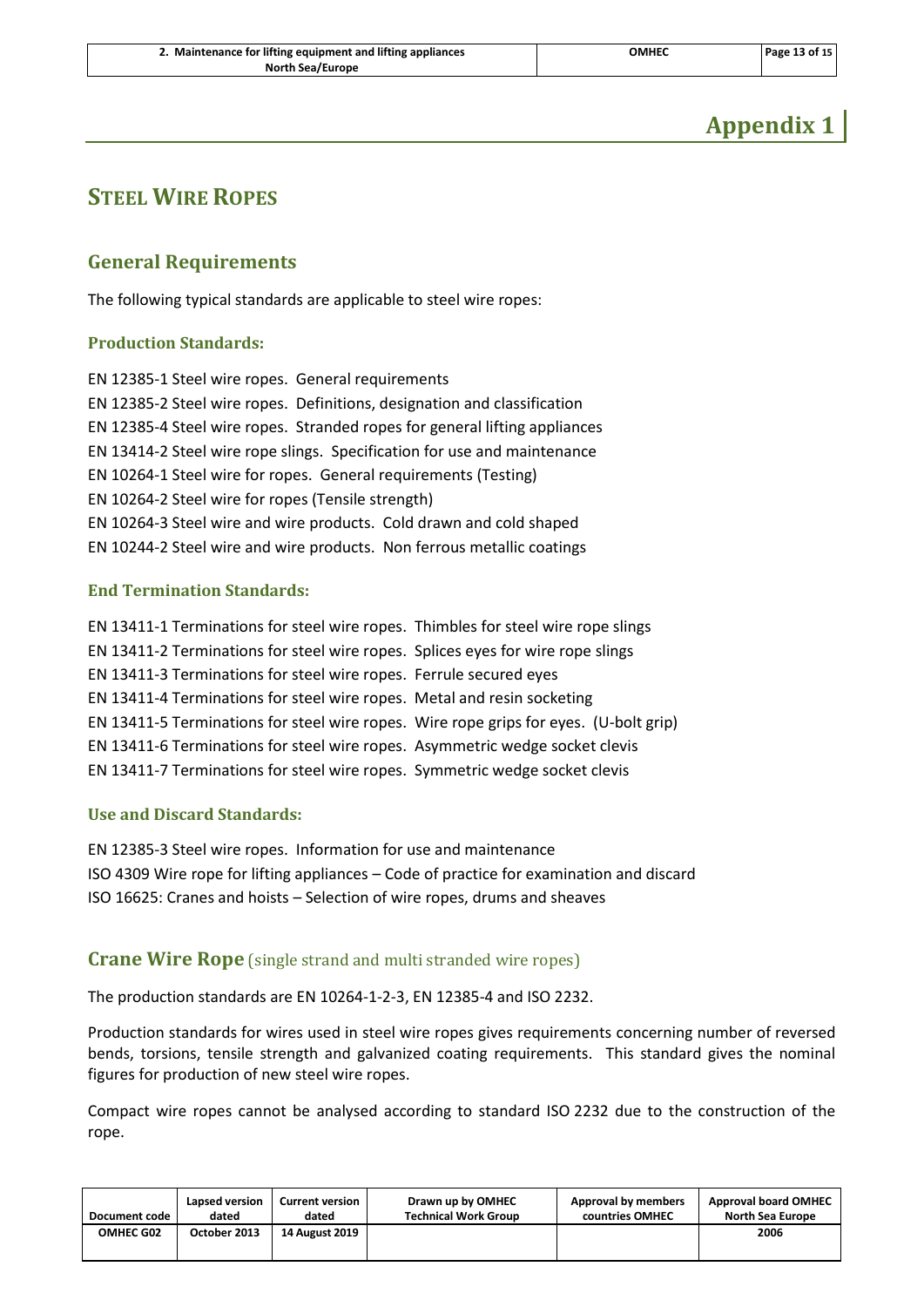| 2. Maintenance for lifting equipment and lifting appliances | ОМНЕС | Page 13 of 15 |
|-------------------------------------------------------------|-------|---------------|
| <b>North Sea/Europe</b>                                     |       |               |

# **Appendix 1**

# <span id="page-15-1"></span><span id="page-15-0"></span>**STEEL WIRE ROPES**

## **General Requirements**

The following typical standards are applicable to steel wire ropes:

#### **Production Standards:**

EN 12385-1 Steel wire ropes. General requirements EN 12385-2 Steel wire ropes. Definitions, designation and classification EN 12385-4 Steel wire ropes. Stranded ropes for general lifting appliances EN 13414-2 Steel wire rope slings. Specification for use and maintenance EN 10264-1 Steel wire for ropes. General requirements (Testing) EN 10264-2 Steel wire for ropes (Tensile strength) EN 10264-3 Steel wire and wire products. Cold drawn and cold shaped EN 10244-2 Steel wire and wire products. Non ferrous metallic coatings

#### **End Termination Standards:**

EN 13411-1 Terminations for steel wire ropes. Thimbles for steel wire rope slings EN 13411-2 Terminations for steel wire ropes. Splices eyes for wire rope slings EN 13411-3 Terminations for steel wire ropes. Ferrule secured eyes EN 13411-4 Terminations for steel wire ropes. Metal and resin socketing EN 13411-5 Terminations for steel wire ropes. Wire rope grips for eyes. (U-bolt grip) EN 13411-6 Terminations for steel wire ropes. Asymmetric wedge socket clevis EN 13411-7 Terminations for steel wire ropes. Symmetric wedge socket clevis

#### **Use and Discard Standards:**

EN 12385-3 Steel wire ropes. Information for use and maintenance ISO 4309 Wire rope for lifting appliances – Code of practice for examination and discard ISO 16625: Cranes and hoists – Selection of wire ropes, drums and sheaves

## <span id="page-15-2"></span>**Crane Wire Rope** (single strand and multi stranded wire ropes)

The production standards are EN 10264-1-2-3, EN 12385-4 and ISO 2232.

Production standards for wires used in steel wire ropes gives requirements concerning number of reversed bends, torsions, tensile strength and galvanized coating requirements. This standard gives the nominal figures for production of new steel wire ropes.

Compact wire ropes cannot be analysed according to standard ISO 2232 due to the construction of the rope.

| Document code    | Lapsed version | <b>Current version</b> | Drawn up by OMHEC           | Approval by members | <b>Approval board OMHEC</b> |
|------------------|----------------|------------------------|-----------------------------|---------------------|-----------------------------|
|                  | dated          | dated                  | <b>Technical Work Group</b> | countries OMHEC     | North Sea Europe            |
| <b>OMHEC G02</b> | October 2013   | 14 August 2019         |                             |                     | 2006                        |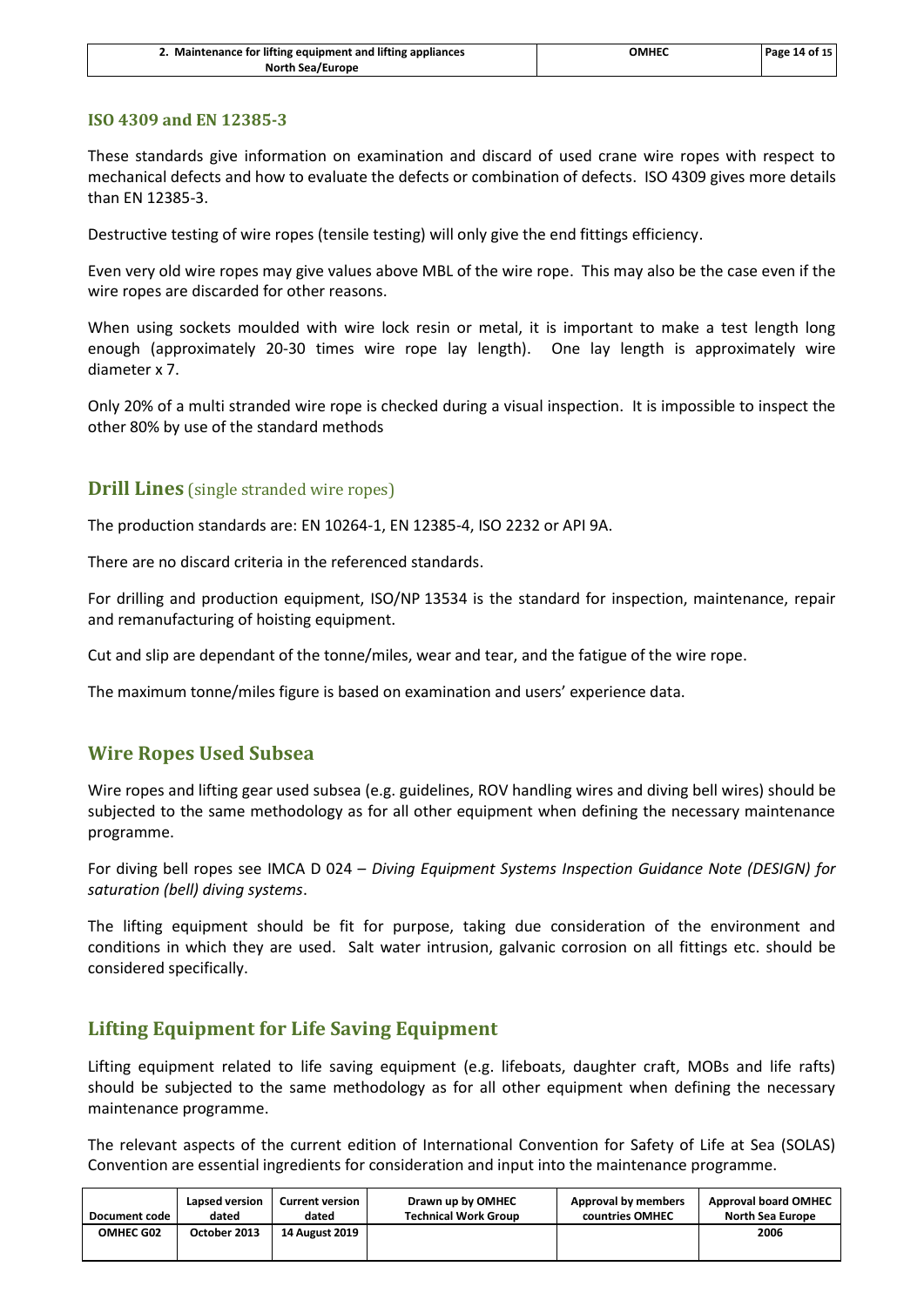| 2. Maintenance for lifting equipment and lifting appliances | ОМНЕС | Page 14 of 15 |
|-------------------------------------------------------------|-------|---------------|
| <b>North Sea/Europe</b>                                     |       |               |

#### **ISO 4309 and EN 12385-3**

These standards give information on examination and discard of used crane wire ropes with respect to mechanical defects and how to evaluate the defects or combination of defects. ISO 4309 gives more details than EN 12385-3.

Destructive testing of wire ropes (tensile testing) will only give the end fittings efficiency.

Even very old wire ropes may give values above MBL of the wire rope. This may also be the case even if the wire ropes are discarded for other reasons.

When using sockets moulded with wire lock resin or metal, it is important to make a test length long enough (approximately 20-30 times wire rope lay length). One lay length is approximately wire diameter x 7.

<span id="page-16-0"></span>Only 20% of a multi stranded wire rope is checked during a visual inspection. It is impossible to inspect the other 80% by use of the standard methods

#### **Drill Lines** (single stranded wire ropes)

The production standards are: EN 10264-1, EN 12385-4, ISO 2232 or API 9A.

There are no discard criteria in the referenced standards.

For drilling and production equipment, ISO/NP 13534 is the standard for inspection, maintenance, repair and remanufacturing of hoisting equipment.

Cut and slip are dependant of the tonne/miles, wear and tear, and the fatigue of the wire rope.

<span id="page-16-1"></span>The maximum tonne/miles figure is based on examination and users' experience data.

## **Wire Ropes Used Subsea**

Wire ropes and lifting gear used subsea (e.g. guidelines, ROV handling wires and diving bell wires) should be subjected to the same methodology as for all other equipment when defining the necessary maintenance programme.

For diving bell ropes see IMCA D 024 – *Diving Equipment Systems Inspection Guidance Note (DESIGN) for saturation (bell) diving systems*.

The lifting equipment should be fit for purpose, taking due consideration of the environment and conditions in which they are used. Salt water intrusion, galvanic corrosion on all fittings etc. should be considered specifically.

## <span id="page-16-2"></span>**Lifting Equipment for Life Saving Equipment**

Lifting equipment related to life saving equipment (e.g. lifeboats, daughter craft, MOBs and life rafts) should be subjected to the same methodology as for all other equipment when defining the necessary maintenance programme.

The relevant aspects of the current edition of International Convention for Safety of Life at Sea (SOLAS) Convention are essential ingredients for consideration and input into the maintenance programme.

| Document code | Lapsed version | <b>Current version</b> | Drawn up by OMHEC           | Approval by members | <b>Approval board OMHEC</b> |
|---------------|----------------|------------------------|-----------------------------|---------------------|-----------------------------|
|               | dated          | dated                  | <b>Technical Work Group</b> | countries OMHEC     | <b>North Sea Europe</b>     |
| OMHEC G02     | October 2013   | 14 August 2019         |                             |                     | 2006                        |